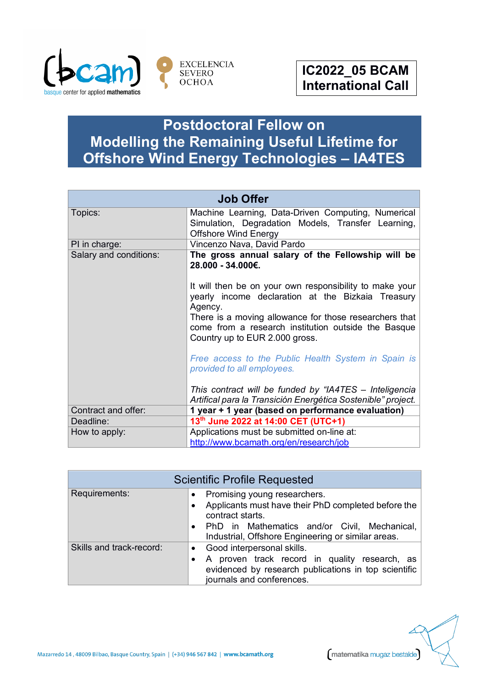

## **Postdoctoral Fellow on Modelling the Remaining Useful Lifetime for Offshore Wind Energy Technologies – IA4TES**

| <b>Job Offer</b>       |                                                                                                                                                                                                                                                             |
|------------------------|-------------------------------------------------------------------------------------------------------------------------------------------------------------------------------------------------------------------------------------------------------------|
| Topics:                | Machine Learning, Data-Driven Computing, Numerical<br>Simulation, Degradation Models, Transfer Learning,<br><b>Offshore Wind Energy</b>                                                                                                                     |
| PI in charge:          | Vincenzo Nava, David Pardo                                                                                                                                                                                                                                  |
| Salary and conditions: | The gross annual salary of the Fellowship will be<br>28.000 - 34.000€.<br>It will then be on your own responsibility to make your<br>yearly income declaration at the Bizkaia Treasury<br>Agency.<br>There is a moving allowance for those researchers that |
|                        | come from a research institution outside the Basque<br>Country up to EUR 2.000 gross.                                                                                                                                                                       |
|                        | Free access to the Public Health System in Spain is<br>provided to all employees.                                                                                                                                                                           |
|                        | This contract will be funded by "IA4TES - Inteligencia<br>Artifical para la Transición Energética Sostenible" project.                                                                                                                                      |
| Contract and offer:    | 1 year + 1 year (based on performance evaluation)                                                                                                                                                                                                           |
| Deadline:              | 13th June 2022 at 14:00 CET (UTC+1)                                                                                                                                                                                                                         |
| How to apply:          | Applications must be submitted on-line at:<br>http://www.bcamath.org/en/research/job                                                                                                                                                                        |

| <b>Scientific Profile Requested</b> |                                                                                                                                                                                                                            |
|-------------------------------------|----------------------------------------------------------------------------------------------------------------------------------------------------------------------------------------------------------------------------|
| Requirements:                       | Promising young researchers.<br>$\bullet$<br>Applicants must have their PhD completed before the<br>contract starts.<br>PhD in Mathematics and/or Civil, Mechanical,<br>Industrial, Offshore Engineering or similar areas. |
| Skills and track-record:            | • Good interpersonal skills.<br>A proven track record in quality research, as<br>evidenced by research publications in top scientific<br>journals and conferences.                                                         |

Mazarredo 14, 48009 Bilbao, Basque Country, Spain | (+34) 946 567 842 | www.bcamath.org

matematika mugaz bestalde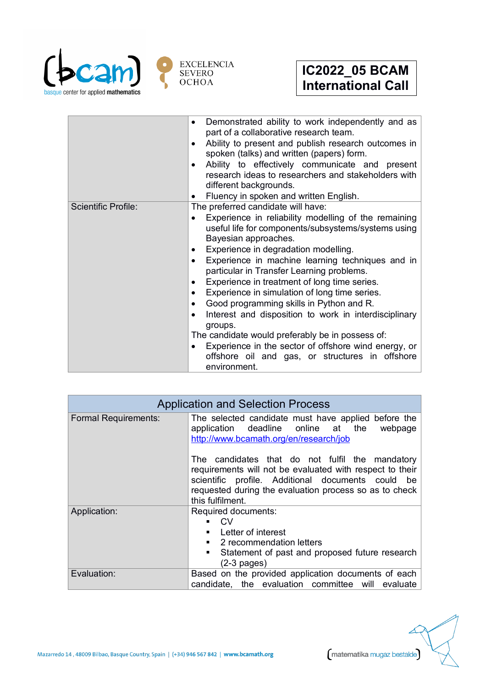

|                            | Demonstrated ability to work independently and as<br>part of a collaborative research team.<br>Ability to present and publish research outcomes in<br>$\bullet$<br>spoken (talks) and written (papers) form.<br>Ability to effectively communicate and present<br>research ideas to researchers and stakeholders with<br>different backgrounds.<br>Fluency in spoken and written English.                                                                                                                                                                                                                                                                                                                                       |
|----------------------------|---------------------------------------------------------------------------------------------------------------------------------------------------------------------------------------------------------------------------------------------------------------------------------------------------------------------------------------------------------------------------------------------------------------------------------------------------------------------------------------------------------------------------------------------------------------------------------------------------------------------------------------------------------------------------------------------------------------------------------|
| <b>Scientific Profile:</b> | The preferred candidate will have:<br>Experience in reliability modelling of the remaining<br>useful life for components/subsystems/systems using<br>Bayesian approaches.<br>Experience in degradation modelling.<br>Experience in machine learning techniques and in<br>particular in Transfer Learning problems.<br>Experience in treatment of long time series.<br>Experience in simulation of long time series.<br>Good programming skills in Python and R.<br>$\bullet$<br>Interest and disposition to work in interdisciplinary<br>groups.<br>The candidate would preferably be in possess of:<br>Experience in the sector of offshore wind energy, or<br>offshore oil and gas, or structures in offshore<br>environment. |

| <b>Application and Selection Process</b> |                                                                                                                                                                                                                                                |
|------------------------------------------|------------------------------------------------------------------------------------------------------------------------------------------------------------------------------------------------------------------------------------------------|
| <b>Formal Requirements:</b>              | The selected candidate must have applied before the<br>application deadline online at the<br>webpage<br>http://www.bcamath.org/en/research/job                                                                                                 |
|                                          | The candidates that do not fulfil the mandatory<br>requirements will not be evaluated with respect to their<br>scientific profile. Additional documents could be<br>requested during the evaluation process so as to check<br>this fulfilment. |
| Application:                             | Required documents:<br>CV.<br>Letter of interest<br>$\blacksquare$<br>2 recommendation letters<br>$\blacksquare$<br>Statement of past and proposed future research<br>٠<br>$(2-3 \text{ pages})$                                               |
| Evaluation:                              | Based on the provided application documents of each<br>candidate, the evaluation committee will evaluate                                                                                                                                       |

matematika mugaz bestalde